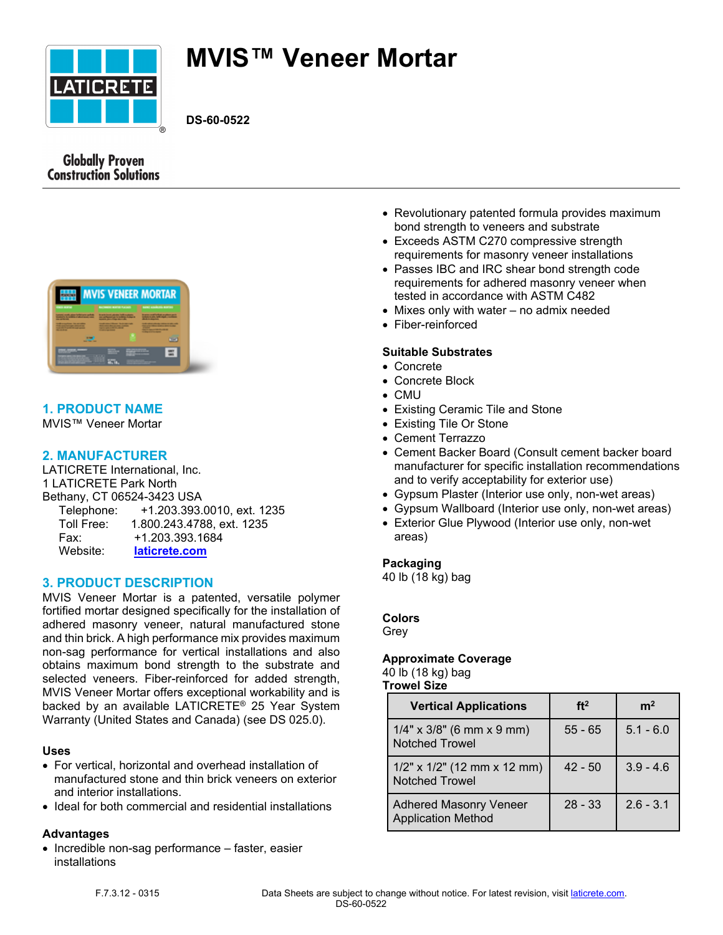

# **MVIS™ Veneer Mortar**

**DS-60-0522**

# **Globally Proven Construction Solutions**



# **1. PRODUCT NAME**

MVIS™ Veneer Mortar

## **2. MANUFACTURER**

LATICRETE International, Inc. 1 LATICRETE Park North Bethany, CT 06524-3423 USA Telephone: +1.203.393.0010, ext. 1235 Toll Free: 1.800.243.4788, ext. 1235 Fax: +1.203.393.1684 Website: **[laticrete.com](https://laticrete.com/)**

# **3. PRODUCT DESCRIPTION**

MVIS Veneer Mortar is a patented, versatile polymer fortified mortar designed specifically for the installation of adhered masonry veneer, natural manufactured stone and thin brick. A high performance mix provides maximum non-sag performance for vertical installations and also obtains maximum bond strength to the substrate and selected veneers. Fiber-reinforced for added strength, MVIS Veneer Mortar offers exceptional workability and is backed by an available LATICRETE® 25 Year System Warranty (United States and Canada) (see DS 025.0).

#### **Uses**

- For vertical, horizontal and overhead installation of manufactured stone and thin brick veneers on exterior and interior installations.
- Ideal for both commercial and residential installations

#### **Advantages**

• Incredible non-sag performance – faster, easier installations

- Revolutionary patented formula provides maximum bond strength to veneers and substrate
- Exceeds ASTM C270 compressive strength requirements for masonry veneer installations
- Passes IBC and IRC shear bond strength code requirements for adhered masonry veneer when tested in accordance with ASTM C482
- Mixes only with water no admix needed
- Fiber-reinforced

#### **Suitable Substrates**

- Concrete
- Concrete Block
- CMU
- Existing Ceramic Tile and Stone
- Existing Tile Or Stone
- Cement Terrazzo
- Cement Backer Board (Consult cement backer board manufacturer for specific installation recommendations and to verify acceptability for exterior use)
- Gypsum Plaster (Interior use only, non-wet areas)
- Gypsum Wallboard (Interior use only, non-wet areas)
- Exterior Glue Plywood (Interior use only, non-wet areas)

#### **Packaging**

40 lb (18 kg) bag

#### **Colors**

Grey

#### **Approximate Coverage**

40 lb (18 kg) bag **Trowel Size**

| <b>Vertical Applications</b>                               | ft <sup>2</sup> | m <sup>2</sup> |
|------------------------------------------------------------|-----------------|----------------|
| $1/4$ " x $3/8$ " (6 mm x 9 mm)<br><b>Notched Trowel</b>   | $55 - 65$       | $5.1 - 6.0$    |
| $1/2$ " x $1/2$ " (12 mm x 12 mm)<br><b>Notched Trowel</b> | $42 - 50$       | $3.9 - 4.6$    |
| <b>Adhered Masonry Veneer</b><br><b>Application Method</b> | $28 - 33$       | $2.6 - 3.1$    |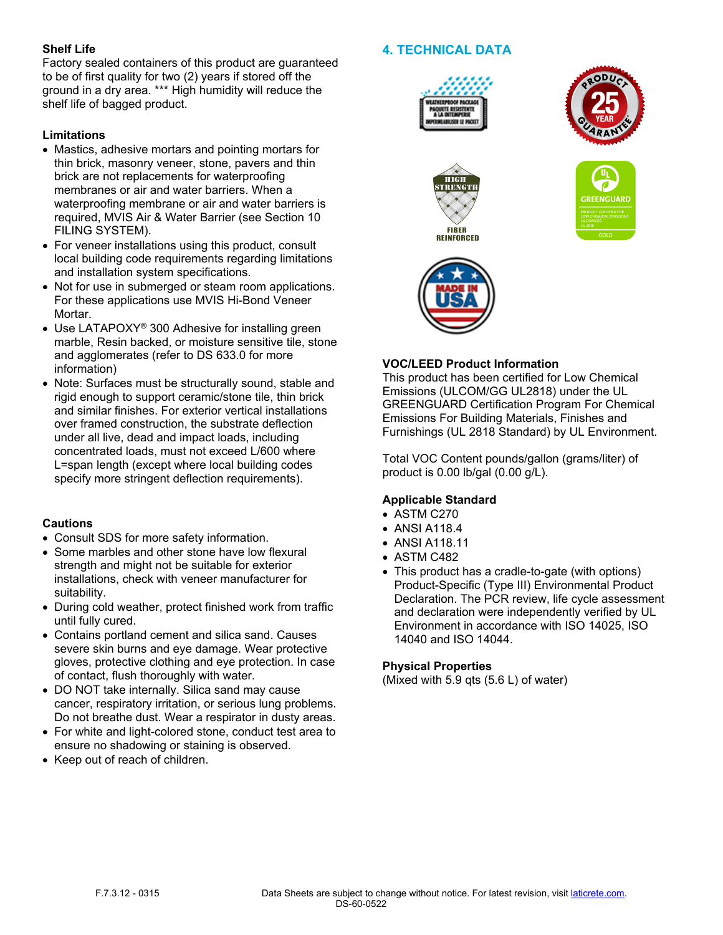#### **Shelf Life**

Factory sealed containers of this product are guaranteed to be of first quality for two (2) years if stored off the ground in a dry area. \*\*\* High humidity will reduce the shelf life of bagged product.

## **Limitations**

- Mastics, adhesive mortars and pointing mortars for thin brick, masonry veneer, stone, pavers and thin brick are not replacements for waterproofing membranes or air and water barriers. When a waterproofing membrane or air and water barriers is required, MVIS Air & Water Barrier (see Section 10 FILING SYSTEM).
- For veneer installations using this product, consult local building code requirements regarding limitations and installation system specifications.
- Not for use in submerged or steam room applications. For these applications use MVIS Hi-Bond Veneer Mortar.
- Use LATAPOXY<sup>®</sup> 300 Adhesive for installing green marble, Resin backed, or moisture sensitive tile, stone and agglomerates (refer to DS 633.0 for more information)
- Note: Surfaces must be structurally sound, stable and rigid enough to support ceramic/stone tile, thin brick and similar finishes. For exterior vertical installations over framed construction, the substrate deflection under all live, dead and impact loads, including concentrated loads, must not exceed L/600 where L=span length (except where local building codes specify more stringent deflection requirements).

# **Cautions**

- Consult SDS for more safety information.
- Some marbles and other stone have low flexural strength and might not be suitable for exterior installations, check with veneer manufacturer for suitability.
- During cold weather, protect finished work from traffic until fully cured.
- Contains portland cement and silica sand. Causes severe skin burns and eye damage. Wear protective gloves, protective clothing and eye protection. In case of contact, flush thoroughly with water.
- DO NOT take internally. Silica sand may cause cancer, respiratory irritation, or serious lung problems. Do not breathe dust. Wear a respirator in dusty areas.
- For white and light-colored stone, conduct test area to ensure no shadowing or staining is observed.
- Keep out of reach of children.

# **4. TECHNICAL DATA**











## **VOC/LEED Product Information**

This product has been certified for Low Chemical Emissions (ULCOM/GG UL2818) under the UL GREENGUARD Certification Program For Chemical Emissions For Building Materials, Finishes and Furnishings (UL 2818 Standard) by UL Environment.

Total VOC Content pounds/gallon (grams/liter) of product is 0.00 lb/gal (0.00 g/L).

# **Applicable Standard**

- ASTM C270
- ANSI A118.4
- ANSI A118.11
- ASTM C482
- This product has a cradle-to-gate (with options) Product-Specific (Type III) Environmental Product Declaration. The PCR review, life cycle assessment and declaration were independently verified by UL Environment in accordance with ISO 14025, ISO 14040 and ISO 14044.

#### **Physical Properties**

(Mixed with 5.9 qts (5.6 L) of water)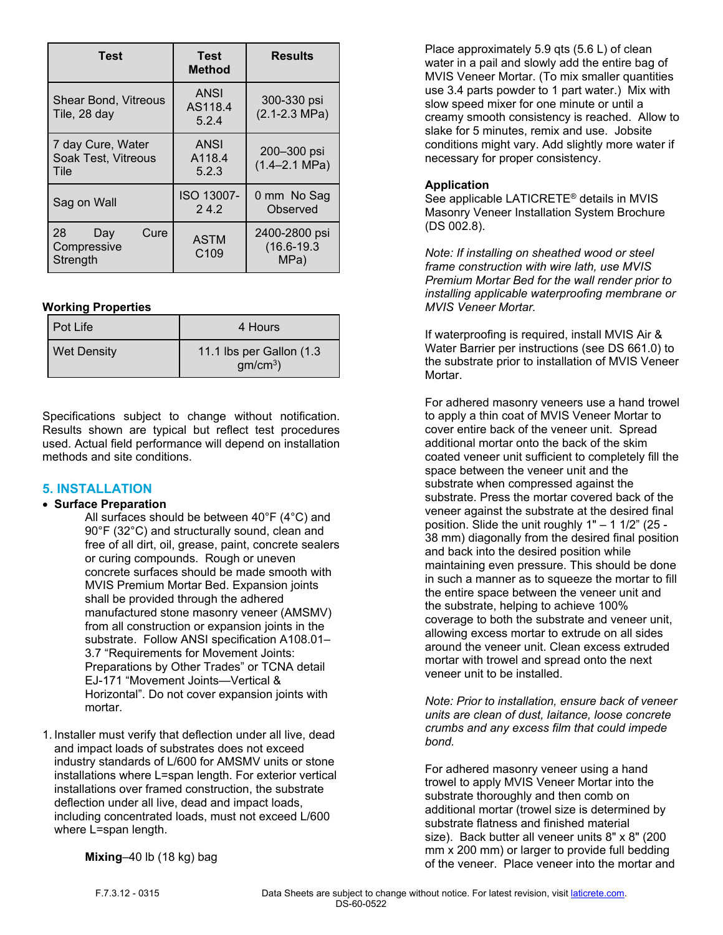| <b>Test</b>                                      | <b>Test</b><br><b>Method</b>    | <b>Results</b>                           |
|--------------------------------------------------|---------------------------------|------------------------------------------|
| Shear Bond, Vitreous<br>Tile, 28 day             | <b>ANSI</b><br>AS118.4<br>5.2.4 | 300-330 psi<br>$(2.1 - 2.3 \text{ MPa})$ |
| 7 day Cure, Water<br>Soak Test, Vitreous<br>Tile | <b>ANSI</b><br>A118.4<br>5.2.3  | 200-300 psi<br>$(1.4 - 2.1$ MPa)         |
| Sag on Wall                                      | ISO 13007-<br>24.2              | 0 mm No Sag<br>Observed                  |
| Cure<br>28<br>Day<br>Compressive<br>Strength     | <b>ASTM</b><br>C <sub>109</sub> | 2400-2800 psi<br>$(16.6 - 19.3)$<br>MPa) |

#### **Working Properties**

| Pot Life           | 4 Hours                                 |
|--------------------|-----------------------------------------|
| <b>Wet Density</b> | 11.1 lbs per Gallon (1.3)<br>$gm/cm3$ ) |

Specifications subject to change without notification. Results shown are typical but reflect test procedures used. Actual field performance will depend on installation methods and site conditions.

#### **5. INSTALLATION**

#### • **Surface Preparation**

All surfaces should be between 40°F (4°C) and 90°F (32°C) and structurally sound, clean and free of all dirt, oil, grease, paint, concrete sealers or curing compounds. Rough or uneven concrete surfaces should be made smooth with MVIS Premium Mortar Bed. Expansion joints shall be provided through the adhered manufactured stone masonry veneer (AMSMV) from all construction or expansion joints in the substrate. Follow ANSI specification A108.01– 3.7 "Requirements for Movement Joints: Preparations by Other Trades" or TCNA detail EJ-171 "Movement Joints—Vertical & Horizontal". Do not cover expansion joints with mortar.

1. Installer must verify that deflection under all live, dead and impact loads of substrates does not exceed industry standards of L/600 for AMSMV units or stone installations where L=span length. For exterior vertical installations over framed construction, the substrate deflection under all live, dead and impact loads, including concentrated loads, must not exceed L/600 where L=span length.

Place approximately 5.9 qts (5.6 L) of clean water in a pail and slowly add the entire bag of MVIS Veneer Mortar. (To mix smaller quantities use 3.4 parts powder to 1 part water.) Mix with slow speed mixer for one minute or until a creamy smooth consistency is reached. Allow to slake for 5 minutes, remix and use. Jobsite conditions might vary. Add slightly more water if necessary for proper consistency.

## **Application**

See applicable LATICRETE® details in MVIS Masonry Veneer Installation System Brochure (DS 002.8).

*Note: If installing on sheathed wood or steel frame construction with wire lath, use MVIS Premium Mortar Bed for the wall render prior to installing applicable waterproofing membrane or MVIS Veneer Mortar.*

If waterproofing is required, install MVIS Air & Water Barrier per instructions (see DS 661.0) to the substrate prior to installation of MVIS Veneer Mortar.

For adhered masonry veneers use a hand trowel to apply a thin coat of MVIS Veneer Mortar to cover entire back of the veneer unit. Spread additional mortar onto the back of the skim coated veneer unit sufficient to completely fill the space between the veneer unit and the substrate when compressed against the substrate. Press the mortar covered back of the veneer against the substrate at the desired final position. Slide the unit roughly 1" – 1 1/2" (25 - 38 mm) diagonally from the desired final position and back into the desired position while maintaining even pressure. This should be done in such a manner as to squeeze the mortar to fill the entire space between the veneer unit and the substrate, helping to achieve 100% coverage to both the substrate and veneer unit, allowing excess mortar to extrude on all sides around the veneer unit. Clean excess extruded mortar with trowel and spread onto the next veneer unit to be installed.

*Note: Prior to installation, ensure back of veneer units are clean of dust, laitance, loose concrete crumbs and any excess film that could impede bond.*

For adhered masonry veneer using a hand trowel to apply MVIS Veneer Mortar into the substrate thoroughly and then comb on additional mortar (trowel size is determined by substrate flatness and finished material size). Back butter all veneer units 8" x 8" (200 mm x 200 mm) or larger to provide full bedding of the veneer. Place veneer into the mortar and

**Mixing**–40 lb (18 kg) bag